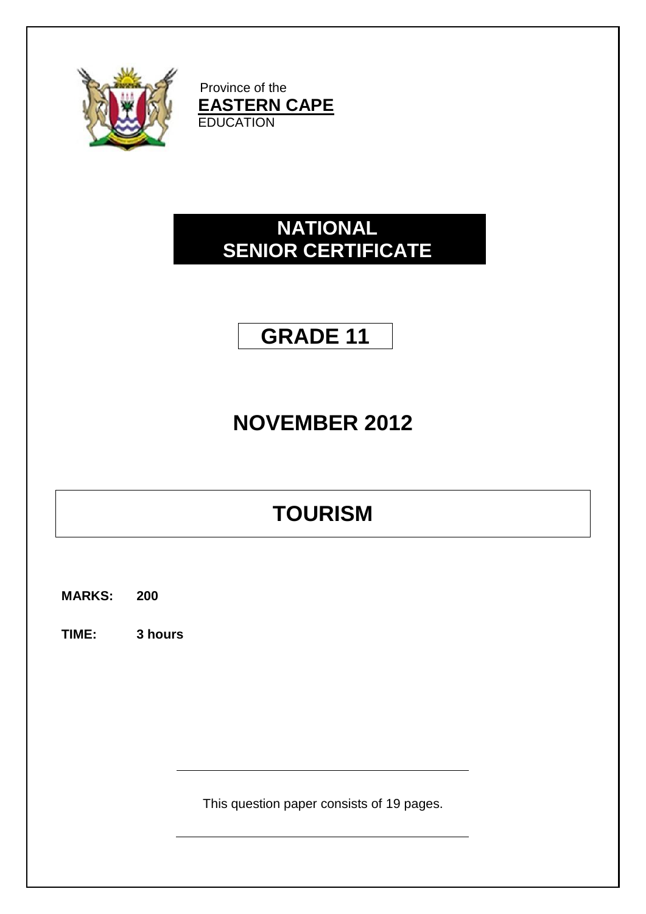

Province of the **EASTERN CAPE** EDUCATION

## **NATIONAL SENIOR CERTIFICATE**

## **GRADE 11**

## **NOVEMBER 2012**

# **TOURISM**

**MARKS: 200**

**TIME: 3 hours**

This question paper consists of 19 pages.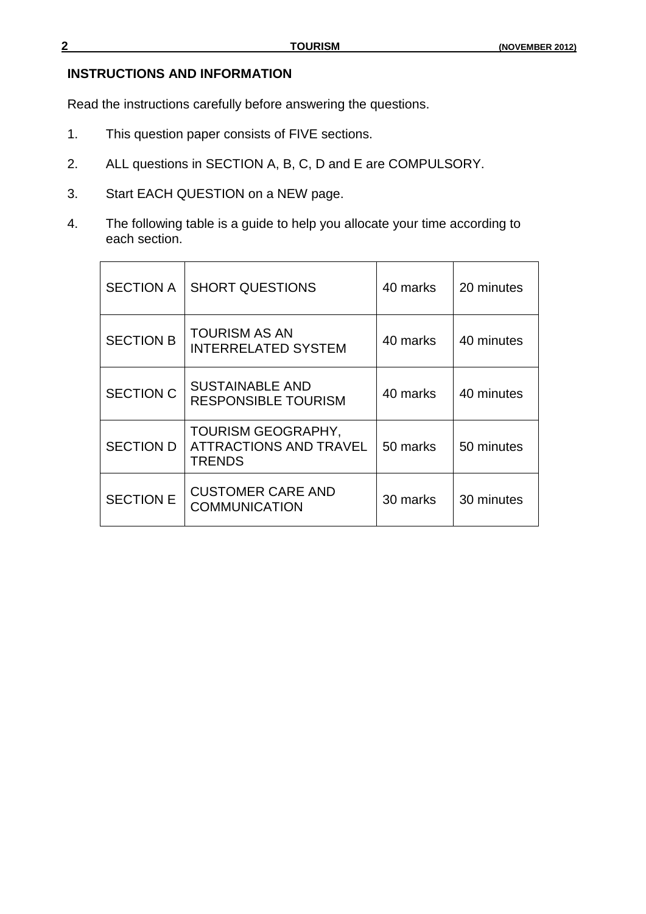### **INSTRUCTIONS AND INFORMATION**

Read the instructions carefully before answering the questions.

- 1. This question paper consists of FIVE sections.
- 2. ALL questions in SECTION A, B, C, D and E are COMPULSORY.
- 3. Start EACH QUESTION on a NEW page.
- 4. The following table is a guide to help you allocate your time according to each section.

| <b>SECTION A</b> | <b>SHORT QUESTIONS</b>                                                      | 40 marks | 20 minutes |
|------------------|-----------------------------------------------------------------------------|----------|------------|
| <b>SECTION B</b> | <b>TOURISM AS AN</b><br><b>INTERRELATED SYSTEM</b>                          | 40 marks | 40 minutes |
| <b>SECTION C</b> | <b>SUSTAINABLE AND</b><br><b>RESPONSIBLE TOURISM</b>                        | 40 marks | 40 minutes |
| <b>SECTION D</b> | <b>TOURISM GEOGRAPHY,</b><br><b>ATTRACTIONS AND TRAVEL</b><br><b>TRENDS</b> | 50 marks | 50 minutes |
| <b>SECTION E</b> | <b>CUSTOMER CARE AND</b><br><b>COMMUNICATION</b>                            | 30 marks | 30 minutes |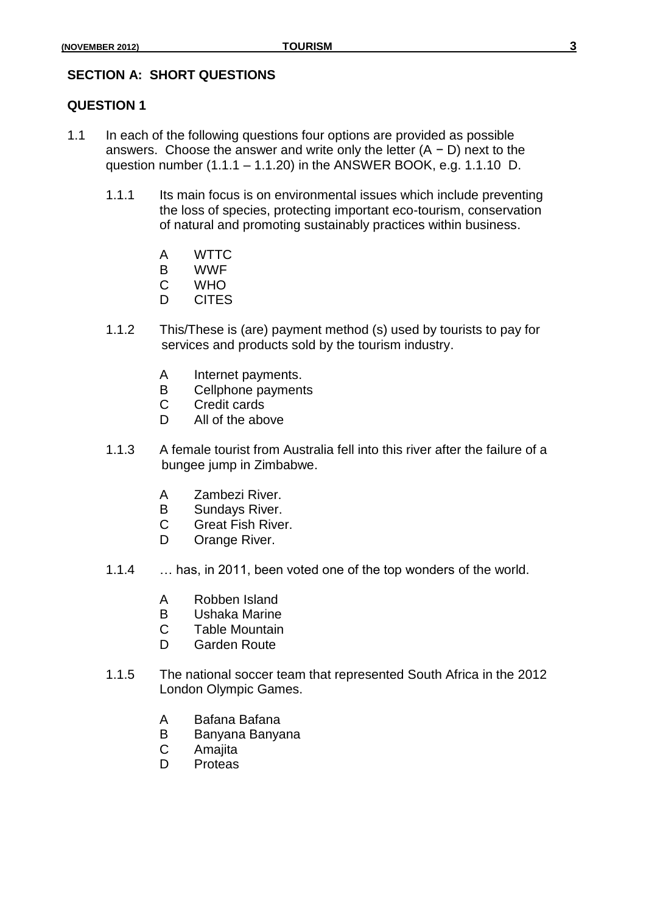### **SECTION A: SHORT QUESTIONS**

#### **QUESTION 1**

- 1.1 In each of the following questions four options are provided as possible answers. Choose the answer and write only the letter (A − D) next to the question number  $(1.1.1 - 1.1.20)$  in the ANSWER BOOK, e.g. 1.1.10 D.
	- 1.1.1 Its main focus is on environmental issues which include preventing the loss of species, protecting important eco-tourism, conservation of natural and promoting sustainably practices within business.
		- A WTTC
		- B WWF
		- C WHO
		- D CITES
	- 1.1.2 This/These is (are) payment method (s) used by tourists to pay for services and products sold by the tourism industry.
		- A Internet payments.
		- B Cellphone payments
		- C Credit cards
		- D All of the above
	- 1.1.3 A female tourist from Australia fell into this river after the failure of a bungee jump in Zimbabwe.
		- A Zambezi River.
		- B Sundays River.<br>C Great Fish Rive
		- **Great Fish River.**
		- D Orange River.
	- 1.1.4 … has, in 2011, been voted one of the top wonders of the world.
		- A Robben Island
		- B Ushaka Marine
		- C Table Mountain
		- D Garden Route
	- 1.1.5 The national soccer team that represented South Africa in the 2012 London Olympic Games.
		- A Bafana Bafana
		- B Banyana Banyana
		- C Amajita
		- D Proteas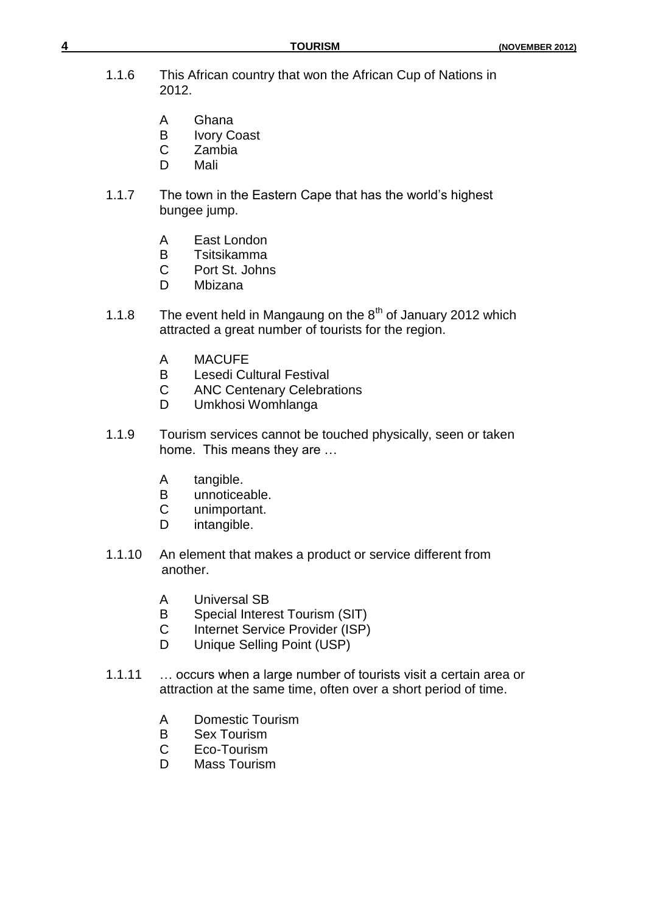- 1.1.6 This African country that won the African Cup of Nations in 2012.
	- A Ghana
	- B Ivory Coast
	- C Zambia<br>D Mali
	- Mali
- 1.1.7 The town in the Eastern Cape that has the world"s highest bungee jump.
	- A East London
	- B Tsitsikamma<br>C Port St. John
	- Port St. Johns
	- D Mbizana
- 1.1.8 The event held in Mangaung on the  $8<sup>th</sup>$  of January 2012 which attracted a great number of tourists for the region.
	- A MACUFE
	- B Lesedi Cultural Festival
	- C ANC Centenary Celebrations
	- D Umkhosi Womhlanga
- 1.1.9 Tourism services cannot be touched physically, seen or taken home. This means they are …
	- A tangible.
	- B unnoticeable.
	- C unimportant.
	- D intangible.
- 1.1.10 An element that makes a product or service different from another.
	- A Universal SB
	- B Special Interest Tourism (SIT)
	- C Internet Service Provider (ISP)
	- D Unique Selling Point (USP)
- 1.1.11 … occurs when a large number of tourists visit a certain area or attraction at the same time, often over a short period of time.
	- A Domestic Tourism
	- B Sex Tourism
	- C Eco-Tourism
	- D Mass Tourism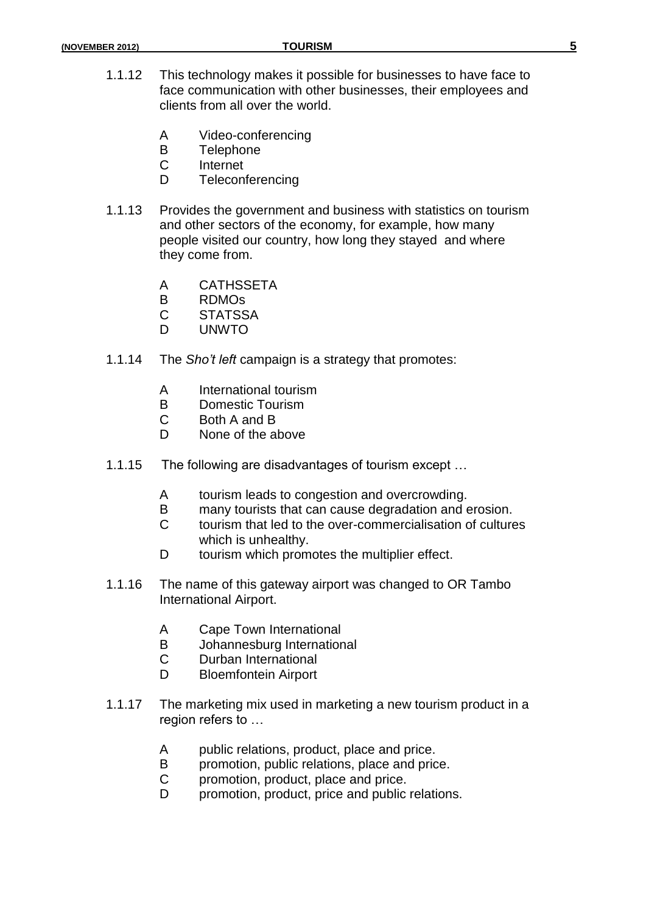- 1.1.12 This technology makes it possible for businesses to have face to face communication with other businesses, their employees and clients from all over the world.
	- A Video-conferencing
	- B Telephone<br>C Internet
	- **Internet**
	- D Teleconferencing
- 1.1.13 Provides the government and business with statistics on tourism and other sectors of the economy, for example, how many people visited our country, how long they stayed and where they come from.
	- A CATHSSETA
	- B RDMOs
	- C STATSSA
	- D UNWTO
- 1.1.14 The *Sho't left* campaign is a strategy that promotes:
	- A International tourism
	- B Domestic Tourism
	- C Both A and B
	- D None of the above
- 1.1.15 The following are disadvantages of tourism except …
	- A tourism leads to congestion and overcrowding.
	- B many tourists that can cause degradation and erosion.
	- C tourism that led to the over-commercialisation of cultures which is unhealthy.
	- D tourism which promotes the multiplier effect.
- 1.1.16 The name of this gateway airport was changed to OR Tambo International Airport.
	- A Cape Town International
	- B Johannesburg International
	- C Durban International
	- D Bloemfontein Airport
- 1.1.17 The marketing mix used in marketing a new tourism product in a region refers to …
	- A public relations, product, place and price.
	- B promotion, public relations, place and price.
	- C promotion, product, place and price.
	- D promotion, product, price and public relations.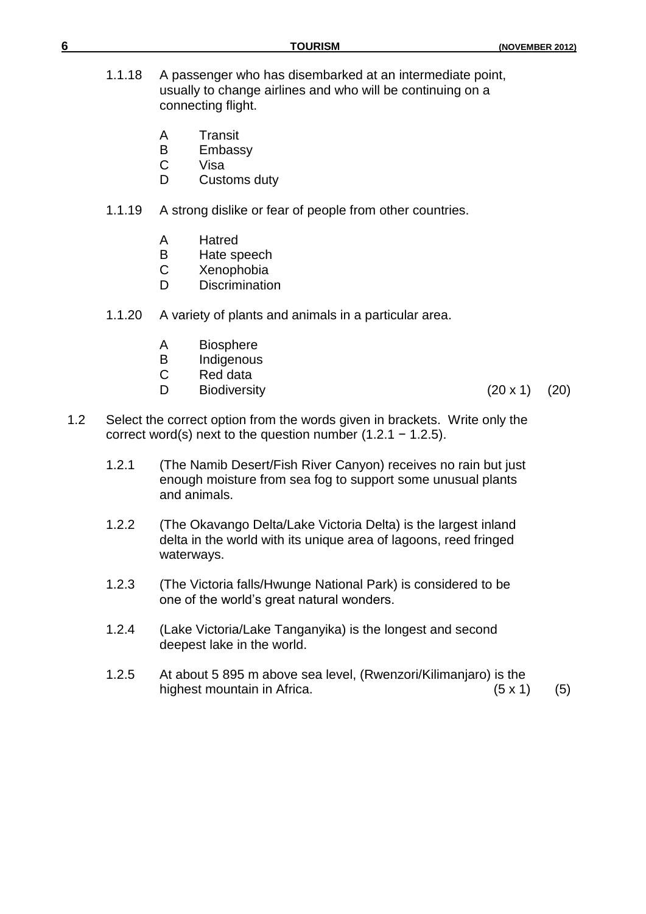- 1.1.18 A passenger who has disembarked at an intermediate point, usually to change airlines and who will be continuing on a connecting flight.
	- A Transit
	- B Embassy<br>C Visa
	- Visa
	- D Customs duty
- 1.1.19 A strong dislike or fear of people from other countries.
	- A Hatred
	- B Hate speech<br>C Xenophobia
	- Xenophobia
	- D Discrimination
- 1.1.20 A variety of plants and animals in a particular area.
	- A Biosphere
	- B Indigenous
	- C Red data
	- D Biodiversity (20 x 1) (20)

- 1.2 Select the correct option from the words given in brackets. Write only the correct word(s) next to the question number  $(1.2.1 - 1.2.5)$ .
	- 1.2.1 (The Namib Desert/Fish River Canyon) receives no rain but just enough moisture from sea fog to support some unusual plants and animals.
	- 1.2.2 (The Okavango Delta/Lake Victoria Delta) is the largest inland delta in the world with its unique area of lagoons, reed fringed waterways.
	- 1.2.3 (The Victoria falls/Hwunge National Park) is considered to be one of the world"s great natural wonders.
	- 1.2.4 (Lake Victoria/Lake Tanganyika) is the longest and second deepest lake in the world.
	- 1.2.5 At about 5 895 m above sea level, (Rwenzori/Kilimanjaro) is the highest mountain in Africa. (5 x 1) (5)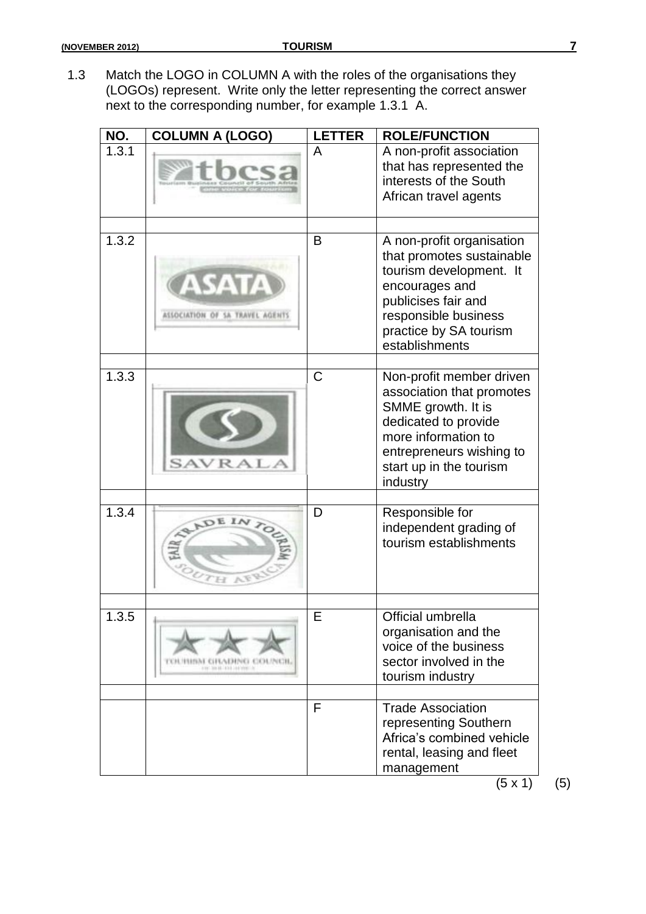1.3 Match the LOGO in COLUMN A with the roles of the organisations they (LOGOs) represent. Write only the letter representing the correct answer next to the corresponding number, for example 1.3.1 A.

| NO.   | <b>COLUMN A (LOGO)</b>                   | <b>LETTER</b> | <b>ROLE/FUNCTION</b>                                                                                                                                                                           |
|-------|------------------------------------------|---------------|------------------------------------------------------------------------------------------------------------------------------------------------------------------------------------------------|
| 1.3.1 |                                          | A             | A non-profit association<br>that has represented the<br>interests of the South<br>African travel agents                                                                                        |
| 1.3.2 | ASATA<br>ASSOCIATION OF SA TRAVEL AGENTS | B             | A non-profit organisation<br>that promotes sustainable<br>tourism development. It<br>encourages and<br>publicises fair and<br>responsible business<br>practice by SA tourism<br>establishments |
| 1.3.3 |                                          | $\mathsf C$   | Non-profit member driven<br>association that promotes<br>SMME growth. It is<br>dedicated to provide<br>more information to<br>entrepreneurs wishing to<br>start up in the tourism<br>industry  |
| 1.3.4 | DEIN                                     | D             | Responsible for<br>independent grading of<br>tourism establishments                                                                                                                            |
| 1.3.5 | 1995 300 BL 63 B 10 F (1995) 8           | E             | Official umbrella<br>organisation and the<br>voice of the business<br>sector involved in the<br>tourism industry                                                                               |
|       |                                          | F             | <b>Trade Association</b><br>representing Southern<br>Africa's combined vehicle<br>rental, leasing and fleet<br>management                                                                      |

 $(5 x 1)$  (5)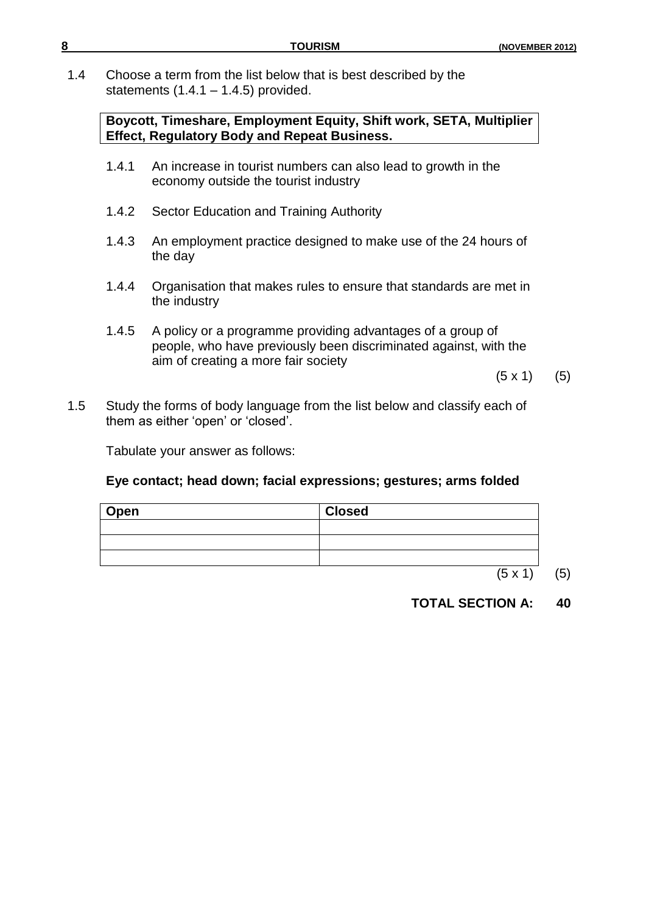1.4 Choose a term from the list below that is best described by the statements  $(1.4.1 - 1.4.5)$  provided.

**Boycott, Timeshare, Employment Equity, Shift work, SETA, Multiplier Effect, Regulatory Body and Repeat Business.**

- 1.4.1 An increase in tourist numbers can also lead to growth in the economy outside the tourist industry
- 1.4.2 Sector Education and Training Authority
- 1.4.3 An employment practice designed to make use of the 24 hours of the day
- 1.4.4 Organisation that makes rules to ensure that standards are met in the industry
- 1.4.5 A policy or a programme providing advantages of a group of people, who have previously been discriminated against, with the aim of creating a more fair society

 $(5 \times 1)$  (5)

1.5 Study the forms of body language from the list below and classify each of them as either 'open' or 'closed'.

Tabulate your answer as follows:

### **Eye contact; head down; facial expressions; gestures; arms folded**

| Open | <b>Closed</b> |
|------|---------------|
|      |               |
|      |               |
|      |               |

 $(5 \times 1)$  (5)

## **TOTAL SECTION A: 40**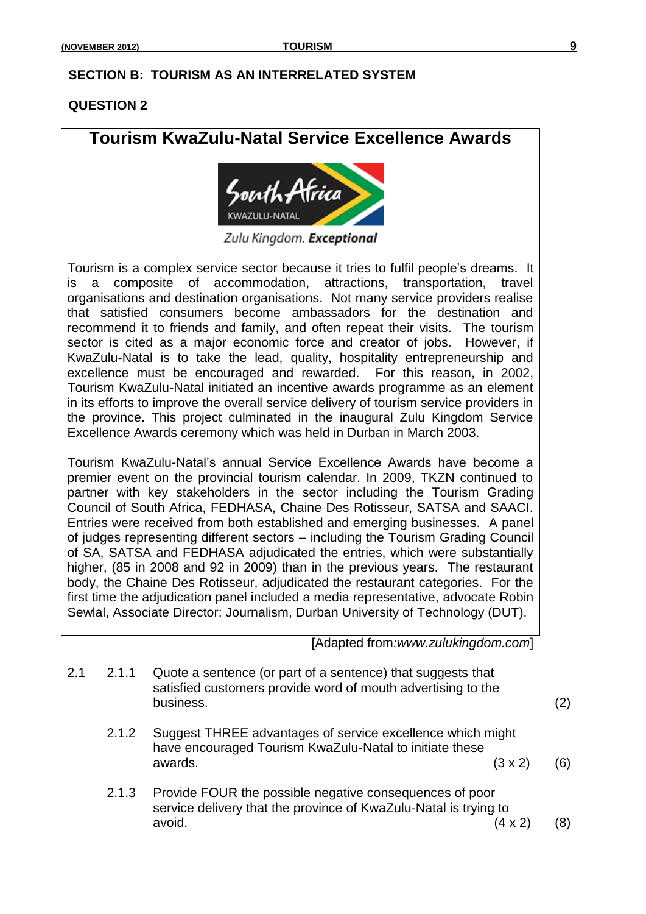## **SECTION B: TOURISM AS AN INTERRELATED SYSTEM**

### **QUESTION 2**

**Tourism KwaZulu-Natal Service Excellence Awards**



Zulu Kingdom. Exceptional

Tourism is a complex service sector because it tries to fulfil people"s dreams. It is a composite of accommodation, attractions, transportation, travel organisations and destination organisations. Not many service providers realise that satisfied consumers become ambassadors for the destination and recommend it to friends and family, and often repeat their visits. The tourism sector is cited as a major economic force and creator of jobs. However, if KwaZulu-Natal is to take the lead, quality, hospitality entrepreneurship and excellence must be encouraged and rewarded. For this reason, in 2002, Tourism KwaZulu-Natal initiated an incentive awards programme as an element in its efforts to improve the overall service delivery of tourism service providers in the province. This project culminated in the inaugural Zulu Kingdom Service Excellence Awards ceremony which was held in Durban in March 2003.

Tourism KwaZulu-Natal"s annual Service Excellence Awards have become a premier event on the provincial tourism calendar. In 2009, TKZN continued to partner with key stakeholders in the sector including the Tourism Grading Council of South Africa, FEDHASA, Chaine Des Rotisseur, SATSA and SAACI. Entries were received from both established and emerging businesses. A panel of judges representing different sectors – including the Tourism Grading Council of SA, SATSA and FEDHASA adjudicated the entries, which were substantially higher, (85 in 2008 and 92 in 2009) than in the previous years. The restaurant body, the Chaine Des Rotisseur, adjudicated the restaurant categories. For the first time the adjudication panel included a media representative, advocate Robin Sewlal, Associate Director: Journalism, Durban University of Technology (DUT).

[Adapted from*:www.zulukingdom.com*]

- 2.1 2.1.1 Quote a sentence (or part of a sentence) that suggests that satisfied customers provide word of mouth advertising to the business. (2)
	- 2.1.2 Suggest THREE advantages of service excellence which might have encouraged Tourism KwaZulu-Natal to initiate these awards.  $(3 \times 2)$  (6)
	- 2.1.3 Provide FOUR the possible negative consequences of poor service delivery that the province of KwaZulu-Natal is trying to avoid.  $(4 \times 2)$   $(8)$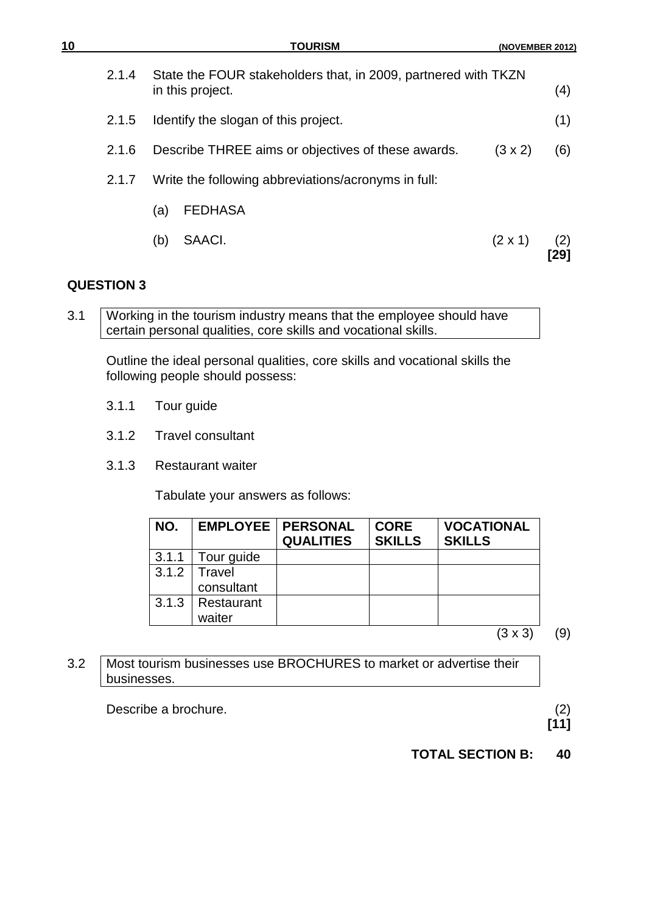| 10 |       | <b>TOURISM</b>                                                                     | (NOVEMBER 2012) |     |
|----|-------|------------------------------------------------------------------------------------|-----------------|-----|
|    | 2.1.4 | State the FOUR stakeholders that, in 2009, partnered with TKZN<br>in this project. |                 | (4) |
|    | 2.1.5 | Identify the slogan of this project.                                               |                 | (1) |
|    | 2.1.6 | Describe THREE aims or objectives of these awards.                                 | $(3 \times 2)$  | (6) |
|    | 2.1.7 | Write the following abbreviations/acronyms in full:                                |                 |     |
|    |       | <b>FEDHASA</b><br>(a)                                                              |                 |     |
|    |       | SAACI.<br>(b)                                                                      | $(2 \times 1)$  | 291 |

## **QUESTION 3**

3.1 Working in the tourism industry means that the employee should have certain personal qualities, core skills and vocational skills.

Outline the ideal personal qualities, core skills and vocational skills the following people should possess:

- 3.1.1 Tour guide
- 3.1.2 Travel consultant
- 3.1.3 Restaurant waiter

Tabulate your answers as follows:

| NO.   |                      | <b>EMPLOYEE   PERSONAL</b><br><b>QUALITIES</b> | <b>CORE</b><br><b>SKILLS</b> | <b>VOCATIONAL</b><br><b>SKILLS</b> |
|-------|----------------------|------------------------------------------------|------------------------------|------------------------------------|
| 3.1.1 | Tour guide           |                                                |                              |                                    |
| 3.1.2 | Travel<br>consultant |                                                |                              |                                    |
| 3.1.3 | Restaurant<br>waiter |                                                |                              |                                    |

 $(3 \times 3)$  (9)

3.2 Most tourism businesses use BROCHURES to market or advertise their businesses.

Describe a brochure. (2)

**[11]**

**TOTAL SECTION B: 40**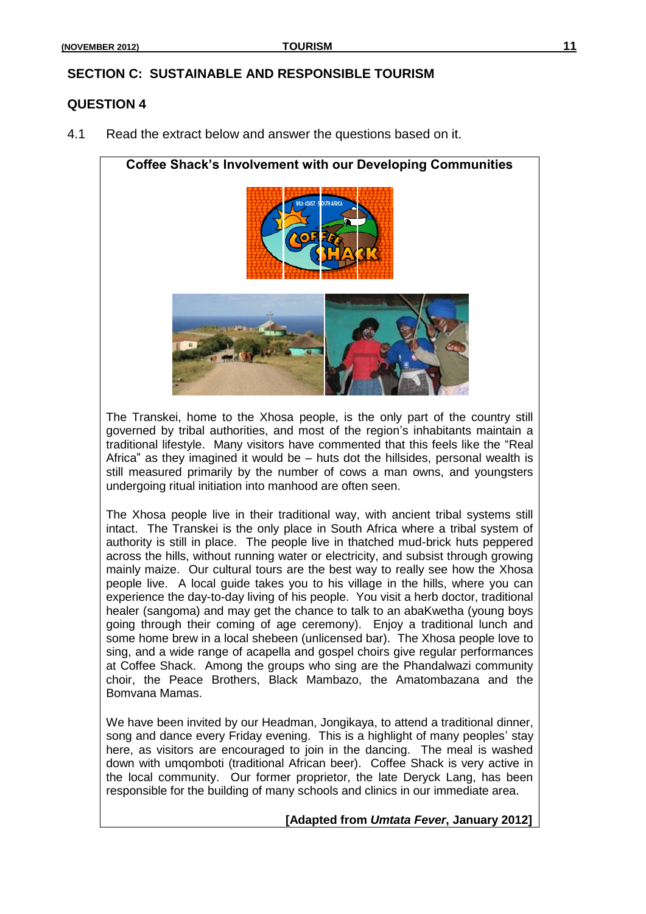## **SECTION C: SUSTAINABLE AND RESPONSIBLE TOURISM**

#### **QUESTION 4**

4.1 Read the extract below and answer the questions based on it.



The Transkei, home to the Xhosa people, is the only part of the country still governed by tribal authorities, and most of the region"s inhabitants maintain a traditional lifestyle. Many visitors have commented that this feels like the "Real Africa" as they imagined it would be – huts dot the hillsides, personal wealth is still measured primarily by the number of cows a man owns, and youngsters undergoing ritual initiation into manhood are often seen.

The Xhosa people live in their traditional way, with ancient tribal systems still intact. The Transkei is the only place in South Africa where a tribal system of authority is still in place. The people live in thatched mud-brick huts peppered across the hills, without running water or electricity, and subsist through growing mainly maize. Our cultural tours are the best way to really see how the Xhosa people live. A local guide takes you to his village in the hills, where you can experience the day-to-day living of his people. You visit a herb doctor, traditional healer (sangoma) and may get the chance to talk to an abaKwetha (young boys going through their coming of age ceremony). Enjoy a traditional lunch and some home brew in a local shebeen (unlicensed bar). The Xhosa people love to sing, and a wide range of acapella and gospel choirs give regular performances at Coffee Shack. Among the groups who sing are the Phandalwazi community choir, the Peace Brothers, Black Mambazo, the Amatombazana and the Bomvana Mamas.

We have been invited by our Headman, Jongikaya, to attend a traditional dinner, song and dance every Friday evening. This is a highlight of many peoples' stay here, as visitors are encouraged to join in the dancing. The meal is washed down with umqomboti (traditional African beer). Coffee Shack is very active in the local community. Our former proprietor, the late Deryck Lang, has been responsible for the building of many schools and clinics in our immediate area.

#### **[Adapted from** *Umtata Fever***, January 2012]**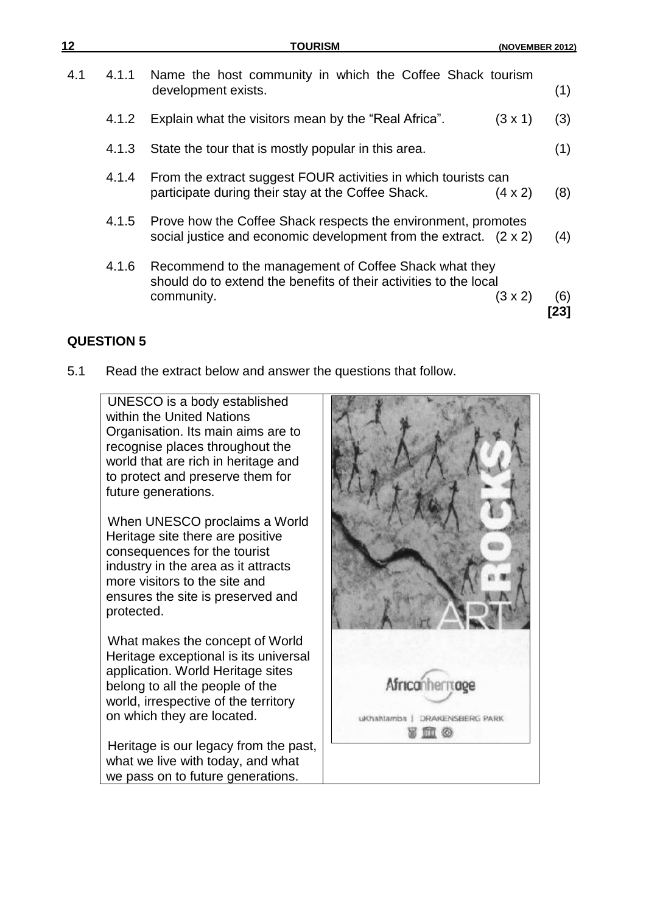| 12  |       | <b>TOURISM</b>                                                                                                                            | (NOVEMBER 2012) |            |
|-----|-------|-------------------------------------------------------------------------------------------------------------------------------------------|-----------------|------------|
| 4.1 | 4.1.1 | Name the host community in which the Coffee Shack tourism<br>development exists.                                                          |                 | (1)        |
|     | 4.1.2 | Explain what the visitors mean by the "Real Africa".                                                                                      | $(3 \times 1)$  | (3)        |
|     | 4.1.3 | State the tour that is mostly popular in this area.                                                                                       |                 | (1)        |
|     | 4.1.4 | From the extract suggest FOUR activities in which tourists can<br>participate during their stay at the Coffee Shack.                      | $(4 \times 2)$  | (8)        |
|     | 4.1.5 | Prove how the Coffee Shack respects the environment, promotes<br>social justice and economic development from the extract. $(2 \times 2)$ |                 | (4)        |
|     | 4.1.6 | Recommend to the management of Coffee Shack what they<br>should do to extend the benefits of their activities to the local<br>community.  | (3 x 2)         | (6)<br> 23 |

## **QUESTION 5**

5.1 Read the extract below and answer the questions that follow.

UNESCO is a body established within the United Nations Organisation. Its main aims are to recognise places throughout the world that are rich in heritage and to protect and preserve them for future generations.

When UNESCO proclaims a World Heritage site there are positive consequences for the tourist industry in the area as it attracts more visitors to the site and ensures the site is preserved and protected.

What makes the concept of World Heritage exceptional is its universal application. World Heritage sites belong to all the people of the world, irrespective of the territory on which they are located.

Heritage is our legacy from the past, what we live with today, and what we pass on to future generations.

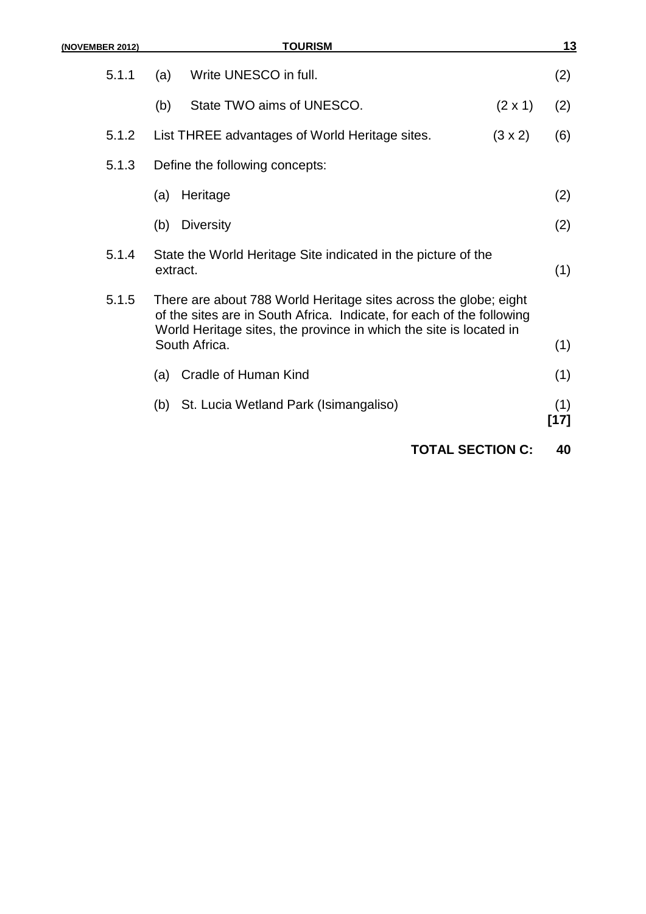| (NOVEMBER 2012) |     | <b>TOURISM</b>                                                                                                                                                                                                  |                         | 13            |  |  |
|-----------------|-----|-----------------------------------------------------------------------------------------------------------------------------------------------------------------------------------------------------------------|-------------------------|---------------|--|--|
| 5.1.1           | (a) | Write UNESCO in full.                                                                                                                                                                                           |                         | (2)           |  |  |
|                 | (b) | State TWO aims of UNESCO.                                                                                                                                                                                       | $(2 \times 1)$          | (2)           |  |  |
| 5.1.2           |     | List THREE advantages of World Heritage sites.                                                                                                                                                                  | $(3 \times 2)$          | (6)           |  |  |
| 5.1.3           |     | Define the following concepts:                                                                                                                                                                                  |                         |               |  |  |
|                 | (a) | Heritage                                                                                                                                                                                                        |                         | (2)           |  |  |
|                 | (b) | <b>Diversity</b>                                                                                                                                                                                                |                         | (2)           |  |  |
| 5.1.4           |     | State the World Heritage Site indicated in the picture of the<br>(1)<br>extract.                                                                                                                                |                         |               |  |  |
| 5.1.5           |     | There are about 788 World Heritage sites across the globe; eight<br>of the sites are in South Africa. Indicate, for each of the following<br>World Heritage sites, the province in which the site is located in |                         |               |  |  |
|                 |     | South Africa.                                                                                                                                                                                                   |                         | (1)           |  |  |
|                 | (a) | Cradle of Human Kind                                                                                                                                                                                            |                         | (1)           |  |  |
|                 | (b) | St. Lucia Wetland Park (Isimangaliso)                                                                                                                                                                           |                         | (1)<br>$[17]$ |  |  |
|                 |     |                                                                                                                                                                                                                 | <b>TOTAL SECTION C:</b> | 40            |  |  |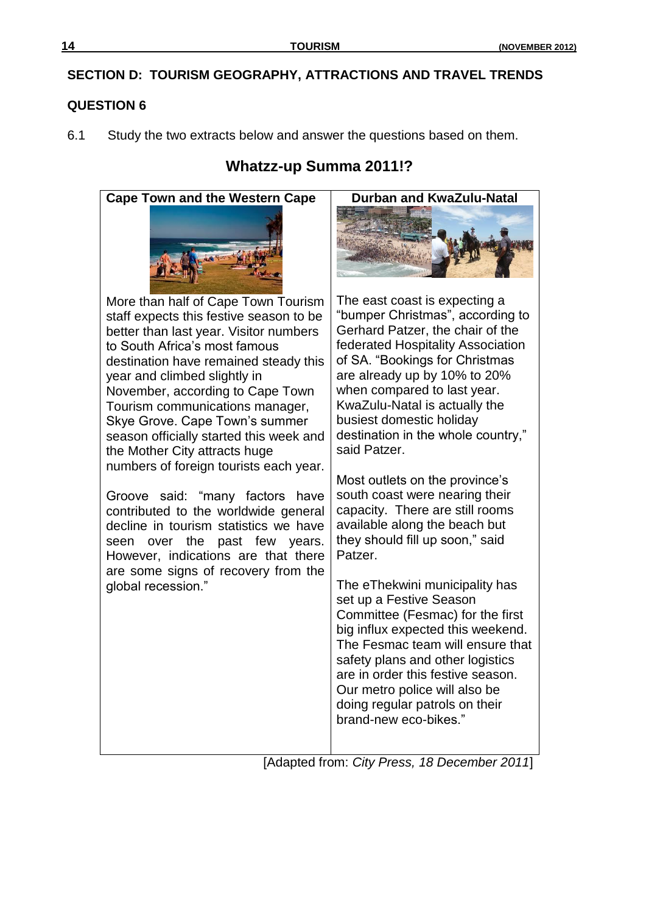#### **SECTION D: TOURISM GEOGRAPHY, ATTRACTIONS AND TRAVEL TRENDS**

#### **QUESTION 6**

6.1 Study the two extracts below and answer the questions based on them.

## **Whatzz-up Summa 2011!?**



More than half of Cape Town Tourism staff expects this festive season to be better than last year. Visitor numbers to South Africa"s most famous destination have remained steady this year and climbed slightly in November, according to Cape Town Tourism communications manager, Skye Grove. Cape Town"s summer season officially started this week and the Mother City attracts huge numbers of foreign tourists each year.

Groove said: "many factors have contributed to the worldwide general decline in tourism statistics we have seen over the past few years. However, indications are that there are some signs of recovery from the global recession."



The east coast is expecting a "bumper Christmas", according to Gerhard Patzer, the chair of the federated Hospitality Association of SA. "Bookings for Christmas are already up by 10% to 20% when compared to last year. KwaZulu-Natal is actually the busiest domestic holiday destination in the whole country," said Patzer.

Most outlets on the province's south coast were nearing their capacity. There are still rooms available along the beach but they should fill up soon," said Patzer.

The eThekwini municipality has set up a Festive Season Committee (Fesmac) for the first big influx expected this weekend. The Fesmac team will ensure that safety plans and other logistics are in order this festive season. Our metro police will also be doing regular patrols on their brand-new eco-bikes."

[Adapted from: *City Press, 18 December 2011*]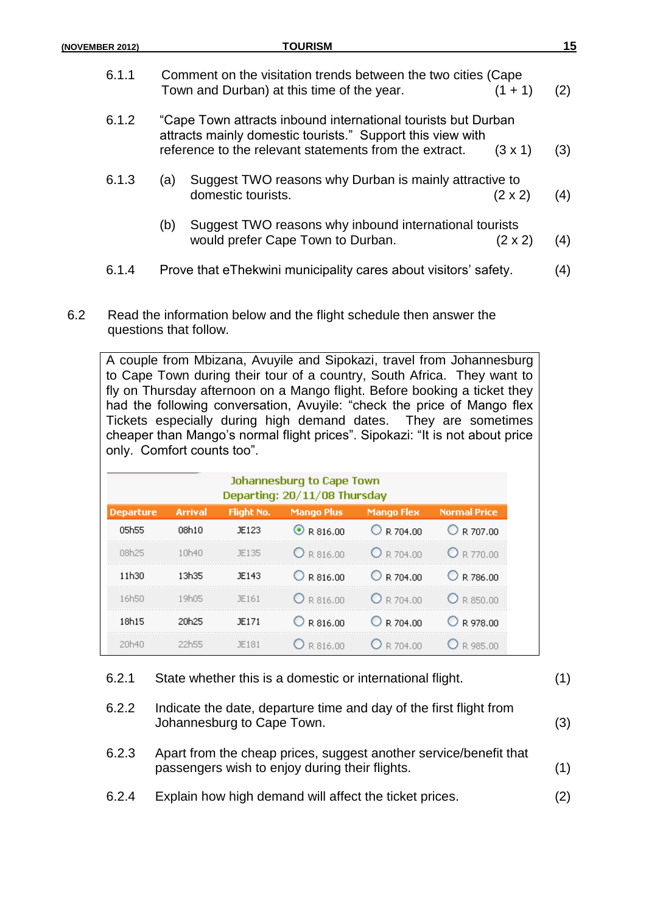| (NOVEMBER 2012) | <b>TOURISM</b>                                                                                                              |                | 15  |
|-----------------|-----------------------------------------------------------------------------------------------------------------------------|----------------|-----|
| 6.1.1           | Comment on the visitation trends between the two cities (Cape<br>Town and Durban) at this time of the year.                 | $(1 + 1)$      | (2) |
| 6.1.2           | "Cape Town attracts inbound international tourists but Durban<br>attracts mainly domestic tourists." Support this view with |                |     |
|                 | reference to the relevant statements from the extract.                                                                      | $(3 \times 1)$ | (3) |
| 6.1.3           | Suggest TWO reasons why Durban is mainly attractive to<br>(a)                                                               |                |     |
|                 | domestic tourists.                                                                                                          | $(2 \times 2)$ | (4) |
|                 | Suggest TWO reasons why inbound international tourists<br>(b)                                                               |                |     |
|                 | would prefer Cape Town to Durban.                                                                                           | $(2 \times 2)$ | (4) |
| 6.1.4           | Prove that eThekwini municipality cares about visitors' safety.                                                             |                | (4) |

6.2 Read the information below and the flight schedule then answer the questions that follow.

A couple from Mbizana, Avuyile and Sipokazi, travel from Johannesburg to Cape Town during their tour of a country, South Africa. They want to fly on Thursday afternoon on a Mango flight. Before booking a ticket they had the following conversation, Avuyile: "check the price of Mango flex Tickets especially during high demand dates. They are sometimes cheaper than Mango"s normal flight prices". Sipokazi: "It is not about price only. Comfort counts too".

| Johannesburg to Cape Town<br>Departing: 20/11/08 Thursday |         |              |                  |                   |                     |
|-----------------------------------------------------------|---------|--------------|------------------|-------------------|---------------------|
| <b>Departure</b>                                          | Arrival | Flight No.   | Mango Plus       | <b>Mango Flex</b> | <b>Normal Price</b> |
| 05h55                                                     | 08h10   | JE123        | $\odot$ R 816.00 | R 704.00          | R 707.00            |
| 08h25                                                     | 10h40   | JE135        | R 816.00         | $Q$ R 704.00      | $O$ R 770.00        |
| 11h30                                                     | 13h35.  | <b>IF143</b> | $Q$ R 816.00     | $Q$ R 704.00      | $Q$ R 786.00        |
| 16h50                                                     | 19605   | <b>IF161</b> | R 816.00         | $O$ B 704.00      | R 850.00            |
| 18h15                                                     | 20b25   | <b>IF171</b> | $Q$ R 816.00     | $Q$ R 704.00      | R 978.00            |
|                                                           |         | <b>IF181</b> | 816.00           | R 704 00          |                     |

- 6.2.2 Indicate the date, departure time and day of the first flight from Johannesburg to Cape Town. (3)
- 6.2.3 Apart from the cheap prices, suggest another service/benefit that passengers wish to enjoy during their flights. (1)
- 6.2.4 Explain how high demand will affect the ticket prices. (2)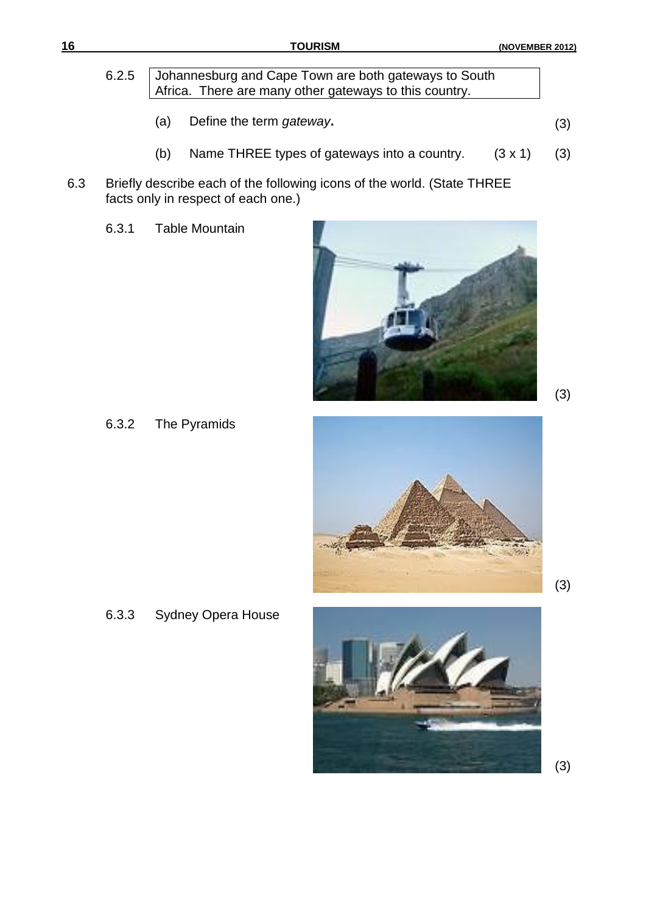| 16    |     | TOURISM                                                                                                         | (NOVEMBER 2012) |     |
|-------|-----|-----------------------------------------------------------------------------------------------------------------|-----------------|-----|
| 6.2.5 |     | Johannesburg and Cape Town are both gateways to South<br>Africa. There are many other gateways to this country. |                 |     |
|       | (a) | Define the term <i>gateway</i> .                                                                                |                 | (3) |
|       | (b) | Name THREE types of gateways into a country.                                                                    | $(3 \times 1)$  | (3) |

- 6.3 Briefly describe each of the following icons of the world. (State THREE facts only in respect of each one.)
	- 6.3.1 Table Mountain



(3)

(3)

(3)

6.3.2 The Pyramids



6.3.3 Sydney Opera House

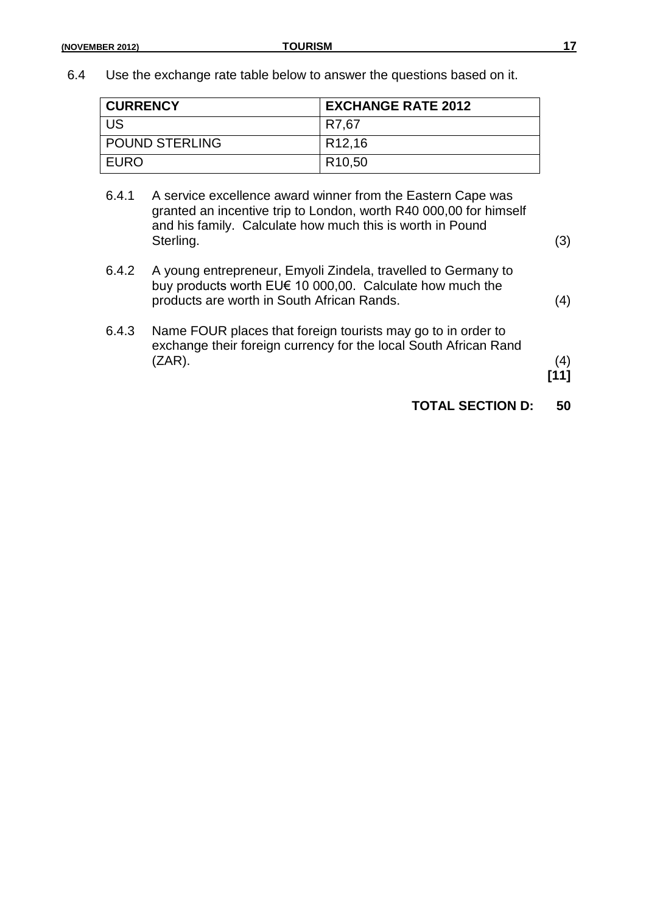6.4 Use the exchange rate table below to answer the questions based on it.

| <b>CURRENCY</b>       | <b>EXCHANGE RATE 2012</b> |
|-----------------------|---------------------------|
| l US                  | R7.67                     |
| <b>POUND STERLING</b> | R <sub>12,16</sub>        |
| l EURO                | R <sub>10,50</sub>        |

- 6.4.1 A service excellence award winner from the Eastern Cape was granted an incentive trip to London, worth R40 000,00 for himself and his family. Calculate how much this is worth in Pound Sterling. (3)
- 6.4.2 A young entrepreneur, Emyoli Zindela, travelled to Germany to buy products worth EU€ 10 000,00. Calculate how much the products are worth in South African Rands. (4)
- 6.4.3 Name FOUR places that foreign tourists may go to in order to exchange their foreign currency for the local South African Rand  $(ZAR)$ . (4)

**[11]**

**TOTAL SECTION D: 50**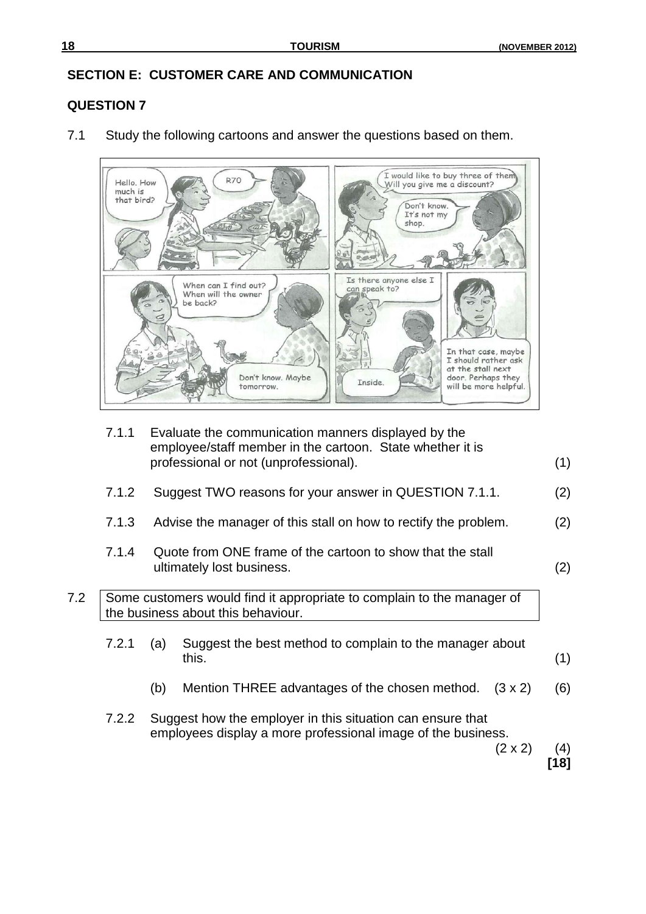## **SECTION E: CUSTOMER CARE AND COMMUNICATION**

## **QUESTION 7**

7.1 Study the following cartoons and answer the questions based on them.



- 7.1.1 Evaluate the communication manners displayed by the employee/staff member in the cartoon. State whether it is professional or not (unprofessional). (1)
- 7.1.2 Suggest TWO reasons for your answer in QUESTION 7.1.1. (2)
- 7.1.3 Advise the manager of this stall on how to rectify the problem. (2)
- 7.1.4 Quote from ONE frame of the cartoon to show that the stall ultimately lost business. (2)
- 7.2 Some customers would find it appropriate to complain to the manager of the business about this behaviour.
	- 7.2.1 (a) Suggest the best method to complain to the manager about  $\lambda$  this. (1)
		- (b) Mention THREE advantages of the chosen method.  $(3 \times 2)$  (6)
	- 7.2.2 Suggest how the employer in this situation can ensure that employees display a more professional image of the business.

 $(2 \times 2)$  (4)

**[18]**